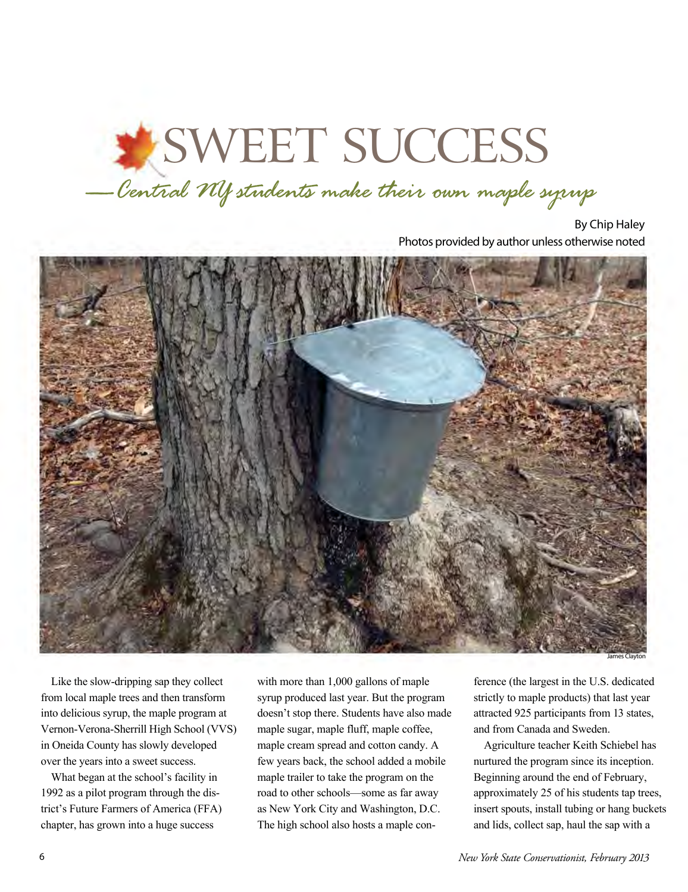## SWEET SUCCESS

*—Central NY students make their own maple syrup* 

By Chip Haley Photos provided by author unless otherwise noted



Like the slow-dripping sap they collect from local maple trees and then transform into delicious syrup, the maple program at Vernon-Verona-Sherrill High School (VVS) in Oneida County has slowly developed over the years into a sweet success.

What began at the school's facility in 1992 as a pilot program through the district's Future Farmers of America (FFA) chapter, has grown into a huge success

with more than 1,000 gallons of maple syrup produced last year. But the program doesn't stop there. Students have also made maple sugar, maple fluff, maple coffee, maple cream spread and cotton candy. A few years back, the school added a mobile maple trailer to take the program on the road to other schools—some as far away as New York City and Washington, D.C. The high school also hosts a maple con-

ference (the largest in the U.S. dedicated strictly to maple products) that last year attracted 925 participants from 13 states, and from Canada and Sweden.

Agriculture teacher Keith Schiebel has nurtured the program since its inception. Beginning around the end of February, approximately 25 of his students tap trees, insert spouts, install tubing or hang buckets and lids, collect sap, haul the sap with a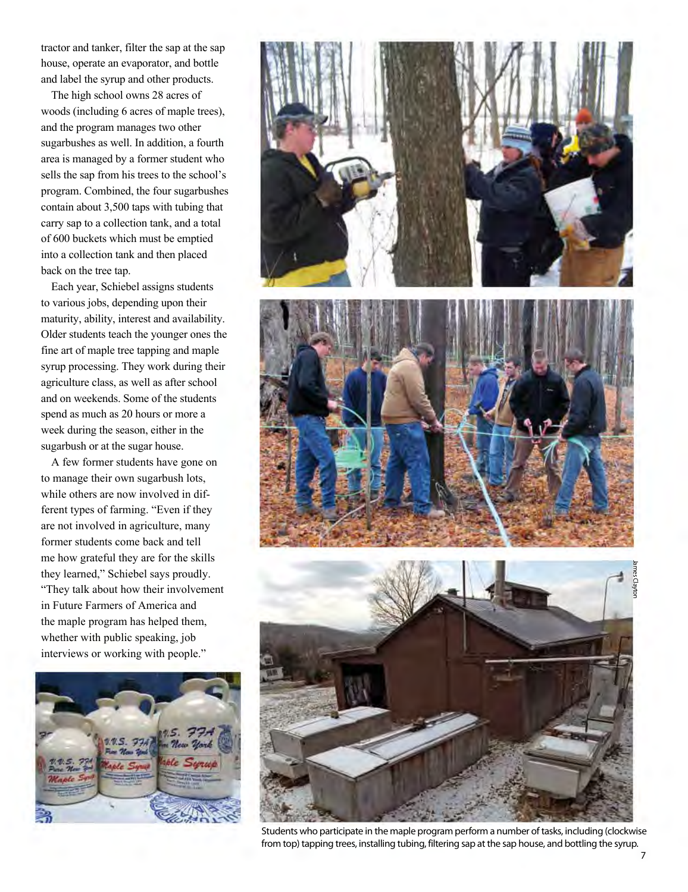tractor and tanker, filter the sap at the sap house, operate an evaporator, and bottle and label the syrup and other products.

The high school owns 28 acres of woods (including 6 acres of maple trees), and the program manages two other sugarbushes as well. In addition, a fourth area is managed by a former student who sells the sap from his trees to the school's program. Combined, the four sugarbushes contain about 3,500 taps with tubing that carry sap to a collection tank, and a total of 600 buckets which must be emptied into a collection tank and then placed back on the tree tap.

Each year, Schiebel assigns students to various jobs, depending upon their maturity, ability, interest and availability. Older students teach the younger ones the fine art of maple tree tapping and maple syrup processing. They work during their agriculture class, as well as after school and on weekends. Some of the students spend as much as 20 hours or more a week during the season, either in the sugarbush or at the sugar house.

A few former students have gone on to manage their own sugarbush lots, while others are now involved in different types of farming. "Even if they are not involved in agriculture, many former students come back and tell me how grateful they are for the skills they learned," Schiebel says proudly. "They talk about how their involvement in Future Farmers of America and the maple program has helped them, whether with public speaking, job interviews or working with people."





Students who participate in the maple program perform a number of tasks, including (clockwise from top) tapping trees, installing tubing, filtering sap at the sap house, and bottling the syrup.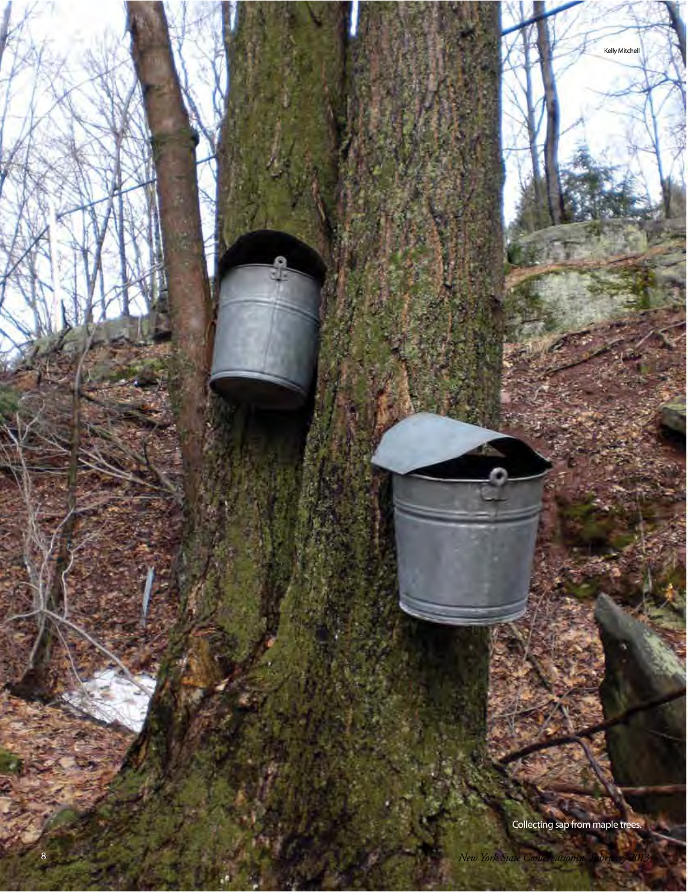Collecting sap from maple trees.